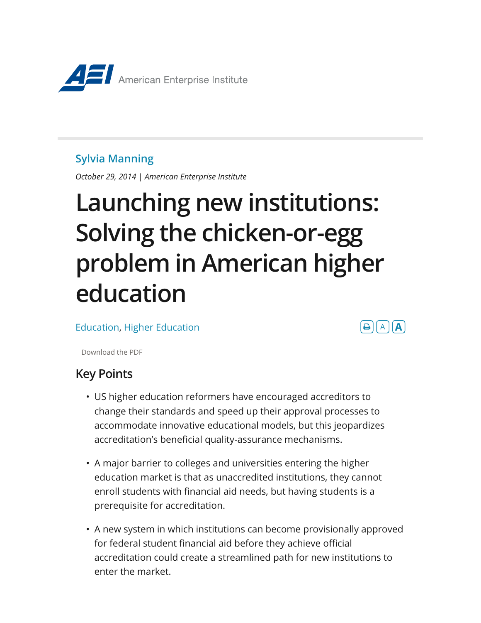

#### **Sylvia Manning**

*October 29, 2014 | American Enterprise Institute*

# **Launching new institutions: Solving the chicken-or-egg problem in American higher education**

Education, Higher Education



Download the PDF

## **Key Points**

- US higher education reformers have encouraged accreditors to change their standards and speed up their approval processes to accommodate innovative educational models, but this jeopardizes accreditation's beneficial quality-assurance mechanisms.
- A major barrier to colleges and universities entering the higher education market is that as unaccredited institutions, they cannot enroll students with financial aid needs, but having students is a prerequisite for accreditation.
- A new system in which institutions can become provisionally approved for federal student financial aid before they achieve official accreditation could create a streamlined path for new institutions to enter the market.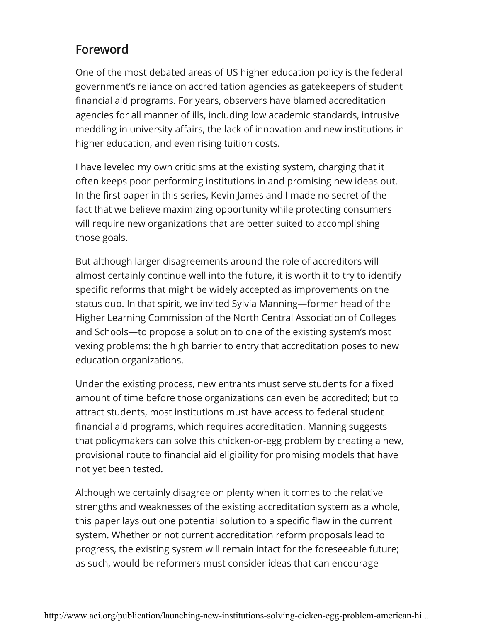## **Foreword**

One of the most debated areas of US higher education policy is the federal government's reliance on accreditation agencies as gatekeepers of student financial aid programs. For years, observers have blamed accreditation agencies for all manner of ills, including low academic standards, intrusive meddling in university affairs, the lack of innovation and new institutions in higher education, and even rising tuition costs.

I have leveled my own criticisms at the existing system, charging that it often keeps poor-performing institutions in and promising new ideas out. In the first paper in this series, Kevin James and I made no secret of the fact that we believe maximizing opportunity while protecting consumers will require new organizations that are better suited to accomplishing those goals.

But although larger disagreements around the role of accreditors will almost certainly continue well into the future, it is worth it to try to identify specific reforms that might be widely accepted as improvements on the status quo. In that spirit, we invited Sylvia Manning—former head of the Higher Learning Commission of the North Central Association of Colleges and Schools—to propose a solution to one of the existing system's most vexing problems: the high barrier to entry that accreditation poses to new education organizations.

Under the existing process, new entrants must serve students for a fixed amount of time before those organizations can even be accredited; but to attract students, most institutions must have access to federal student financial aid programs, which requires accreditation. Manning suggests that policymakers can solve this chicken-or-egg problem by creating a new, provisional route to financial aid eligibility for promising models that have not yet been tested.

Although we certainly disagree on plenty when it comes to the relative strengths and weaknesses of the existing accreditation system as a whole, this paper lays out one potential solution to a specific flaw in the current system. Whether or not current accreditation reform proposals lead to progress, the existing system will remain intact for the foreseeable future; as such, would-be reformers must consider ideas that can encourage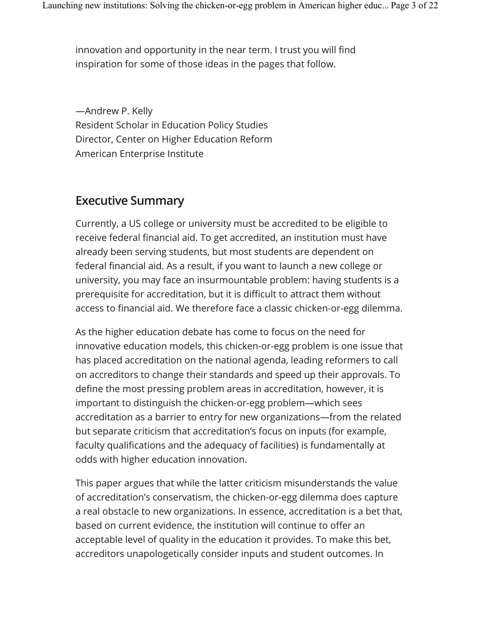innovation and opportunity in the near term. I trust you will find inspiration for some of those ideas in the pages that follow.

—Andrew P. Kelly Resident Scholar in Education Policy Studies Director, Center on Higher Education Reform American Enterprise Institute

#### **Executive Summary**

Currently, a US college or university must be accredited to be eligible to receive federal financial aid. To get accredited, an institution must have already been serving students, but most students are dependent on federal financial aid. As a result, if you want to launch a new college or university, you may face an insurmountable problem: having students is a prerequisite for accreditation, but it is difficult to attract them without access to financial aid. We therefore face a classic chicken-or-egg dilemma.

As the higher education debate has come to focus on the need for innovative education models, this chicken-or-egg problem is one issue that has placed accreditation on the national agenda, leading reformers to call on accreditors to change their standards and speed up their approvals. To define the most pressing problem areas in accreditation, however, it is important to distinguish the chicken-or-egg problem—which sees accreditation as a barrier to entry for new organizations—from the related but separate criticism that accreditation's focus on inputs (for example, faculty qualifications and the adequacy of facilities) is fundamentally at odds with higher education innovation.

This paper argues that while the latter criticism misunderstands the value of accreditation's conservatism, the chicken-or-egg dilemma does capture a real obstacle to new organizations. In essence, accreditation is a bet that, based on current evidence, the institution will continue to offer an acceptable level of quality in the education it provides. To make this bet, accreditors unapologetically consider inputs and student outcomes. In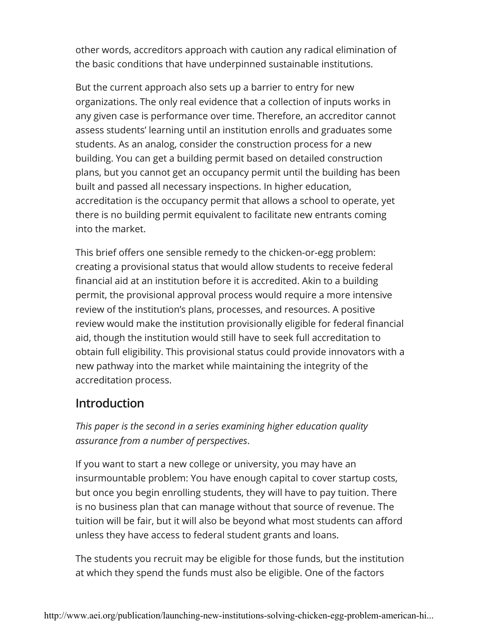other words, accreditors approach with caution any radical elimination of the basic conditions that have underpinned sustainable institutions.

But the current approach also sets up a barrier to entry for new organizations. The only real evidence that a collection of inputs works in any given case is performance over time. Therefore, an accreditor cannot assess students' learning until an institution enrolls and graduates some students. As an analog, consider the construction process for a new building. You can get a building permit based on detailed construction plans, but you cannot get an occupancy permit until the building has been built and passed all necessary inspections. In higher education, accreditation is the occupancy permit that allows a school to operate, yet there is no building permit equivalent to facilitate new entrants coming into the market.

This brief offers one sensible remedy to the chicken-or-egg problem: creating a provisional status that would allow students to receive federal financial aid at an institution before it is accredited. Akin to a building permit, the provisional approval process would require a more intensive review of the institution's plans, processes, and resources. A positive review would make the institution provisionally eligible for federal financial aid, though the institution would still have to seek full accreditation to obtain full eligibility. This provisional status could provide innovators with a new pathway into the market while maintaining the integrity of the accreditation process.

### **Introduction**

*This paper is the second in a series examining higher education quality assurance from a number of perspectives*.

If you want to start a new college or university, you may have an insurmountable problem: You have enough capital to cover startup costs, but once you begin enrolling students, they will have to pay tuition. There is no business plan that can manage without that source of revenue. The tuition will be fair, but it will also be beyond what most students can afford unless they have access to federal student grants and loans.

The students you recruit may be eligible for those funds, but the institution at which they spend the funds must also be eligible. One of the factors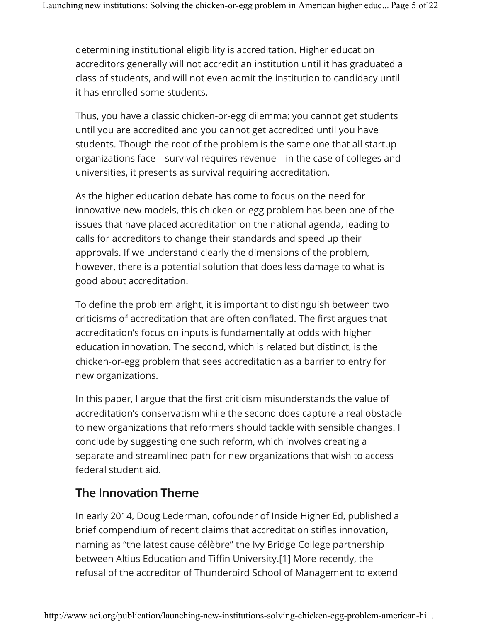determining institutional eligibility is accreditation. Higher education accreditors generally will not accredit an institution until it has graduated a class of students, and will not even admit the institution to candidacy until it has enrolled some students.

Thus, you have a classic chicken-or-egg dilemma: you cannot get students until you are accredited and you cannot get accredited until you have students. Though the root of the problem is the same one that all startup organizations face—survival requires revenue—in the case of colleges and universities, it presents as survival requiring accreditation.

As the higher education debate has come to focus on the need for innovative new models, this chicken-or-egg problem has been one of the issues that have placed accreditation on the national agenda, leading to calls for accreditors to change their standards and speed up their approvals. If we understand clearly the dimensions of the problem, however, there is a potential solution that does less damage to what is good about accreditation.

To define the problem aright, it is important to distinguish between two criticisms of accreditation that are often conflated. The first argues that accreditation's focus on inputs is fundamentally at odds with higher education innovation. The second, which is related but distinct, is the chicken-or-egg problem that sees accreditation as a barrier to entry for new organizations.

In this paper, I argue that the first criticism misunderstands the value of accreditation's conservatism while the second does capture a real obstacle to new organizations that reformers should tackle with sensible changes. I conclude by suggesting one such reform, which involves creating a separate and streamlined path for new organizations that wish to access federal student aid.

## **The Innovation Theme**

In early 2014, Doug Lederman, cofounder of Inside Higher Ed, published a brief compendium of recent claims that accreditation stifles innovation, naming as "the latest cause célèbre" the Ivy Bridge College partnership between Altius Education and Tiffin University.[1] More recently, the refusal of the accreditor of Thunderbird School of Management to extend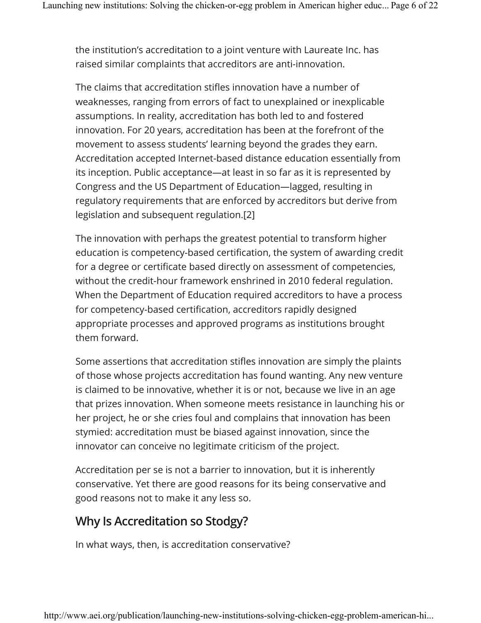the institution's accreditation to a joint venture with Laureate Inc. has raised similar complaints that accreditors are anti-innovation.

The claims that accreditation stifles innovation have a number of weaknesses, ranging from errors of fact to unexplained or inexplicable assumptions. In reality, accreditation has both led to and fostered innovation. For 20 years, accreditation has been at the forefront of the movement to assess students' learning beyond the grades they earn. Accreditation accepted Internet-based distance education essentially from its inception. Public acceptance—at least in so far as it is represented by Congress and the US Department of Education—lagged, resulting in regulatory requirements that are enforced by accreditors but derive from legislation and subsequent regulation.[2]

The innovation with perhaps the greatest potential to transform higher education is competency-based certification, the system of awarding credit for a degree or certificate based directly on assessment of competencies, without the credit-hour framework enshrined in 2010 federal regulation. When the Department of Education required accreditors to have a process for competency-based certification, accreditors rapidly designed appropriate processes and approved programs as institutions brought them forward.

Some assertions that accreditation stifles innovation are simply the plaints of those whose projects accreditation has found wanting. Any new venture is claimed to be innovative, whether it is or not, because we live in an age that prizes innovation. When someone meets resistance in launching his or her project, he or she cries foul and complains that innovation has been stymied: accreditation must be biased against innovation, since the innovator can conceive no legitimate criticism of the project.

Accreditation per se is not a barrier to innovation, but it is inherently conservative. Yet there are good reasons for its being conservative and good reasons not to make it any less so.

### **Why Is Accreditation so Stodgy?**

In what ways, then, is accreditation conservative?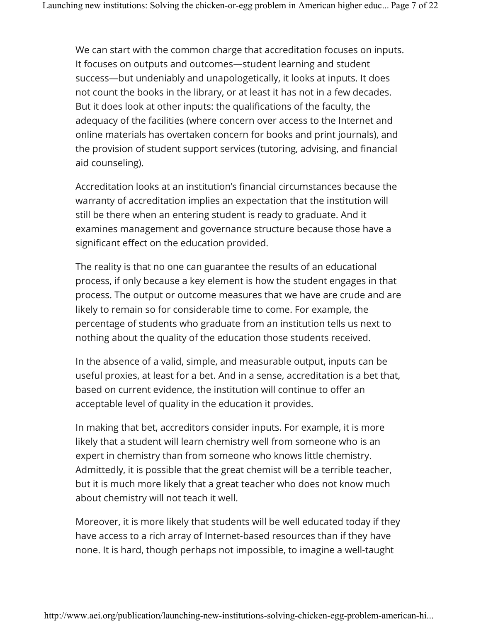We can start with the common charge that accreditation focuses on inputs. It focuses on outputs and outcomes—student learning and student success—but undeniably and unapologetically, it looks at inputs. It does not count the books in the library, or at least it has not in a few decades. But it does look at other inputs: the qualifications of the faculty, the adequacy of the facilities (where concern over access to the Internet and online materials has overtaken concern for books and print journals), and the provision of student support services (tutoring, advising, and financial aid counseling).

Accreditation looks at an institution's financial circumstances because the warranty of accreditation implies an expectation that the institution will still be there when an entering student is ready to graduate. And it examines management and governance structure because those have a significant effect on the education provided.

The reality is that no one can guarantee the results of an educational process, if only because a key element is how the student engages in that process. The output or outcome measures that we have are crude and are likely to remain so for considerable time to come. For example, the percentage of students who graduate from an institution tells us next to nothing about the quality of the education those students received.

In the absence of a valid, simple, and measurable output, inputs can be useful proxies, at least for a bet. And in a sense, accreditation is a bet that, based on current evidence, the institution will continue to offer an acceptable level of quality in the education it provides.

In making that bet, accreditors consider inputs. For example, it is more likely that a student will learn chemistry well from someone who is an expert in chemistry than from someone who knows little chemistry. Admittedly, it is possible that the great chemist will be a terrible teacher, but it is much more likely that a great teacher who does not know much about chemistry will not teach it well.

Moreover, it is more likely that students will be well educated today if they have access to a rich array of Internet-based resources than if they have none. It is hard, though perhaps not impossible, to imagine a well-taught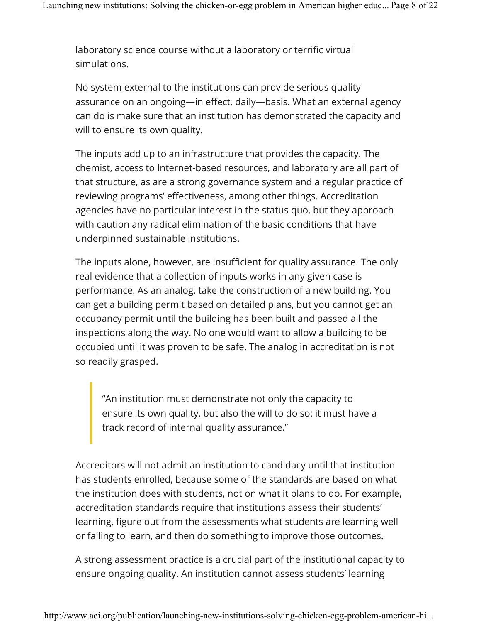laboratory science course without a laboratory or terrific virtual simulations.

No system external to the institutions can provide serious quality assurance on an ongoing—in effect, daily—basis. What an external agency can do is make sure that an institution has demonstrated the capacity and will to ensure its own quality.

The inputs add up to an infrastructure that provides the capacity. The chemist, access to Internet-based resources, and laboratory are all part of that structure, as are a strong governance system and a regular practice of reviewing programs' effectiveness, among other things. Accreditation agencies have no particular interest in the status quo, but they approach with caution any radical elimination of the basic conditions that have underpinned sustainable institutions.

The inputs alone, however, are insufficient for quality assurance. The only real evidence that a collection of inputs works in any given case is performance. As an analog, take the construction of a new building. You can get a building permit based on detailed plans, but you cannot get an occupancy permit until the building has been built and passed all the inspections along the way. No one would want to allow a building to be occupied until it was proven to be safe. The analog in accreditation is not so readily grasped.

"An institution must demonstrate not only the capacity to ensure its own quality, but also the will to do so: it must have a track record of internal quality assurance."

Accreditors will not admit an institution to candidacy until that institution has students enrolled, because some of the standards are based on what the institution does with students, not on what it plans to do. For example, accreditation standards require that institutions assess their students' learning, figure out from the assessments what students are learning well or failing to learn, and then do something to improve those outcomes.

A strong assessment practice is a crucial part of the institutional capacity to ensure ongoing quality. An institution cannot assess students' learning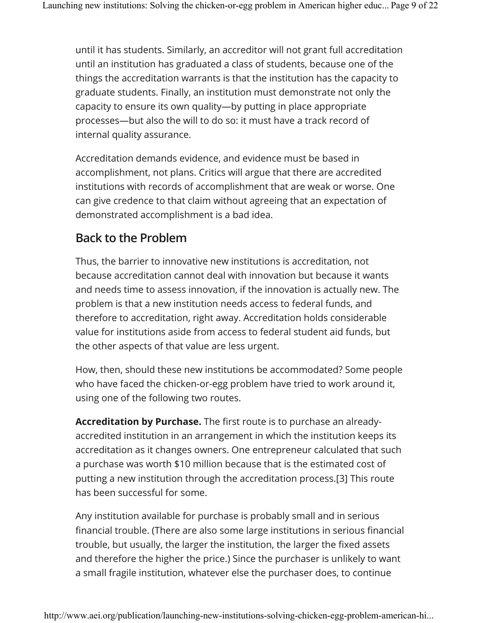until it has students. Similarly, an accreditor will not grant full accreditation until an institution has graduated a class of students, because one of the things the accreditation warrants is that the institution has the capacity to graduate students. Finally, an institution must demonstrate not only the capacity to ensure its own quality—by putting in place appropriate processes—but also the will to do so: it must have a track record of internal quality assurance.

Accreditation demands evidence, and evidence must be based in accomplishment, not plans. Critics will argue that there are accredited institutions with records of accomplishment that are weak or worse. One can give credence to that claim without agreeing that an expectation of demonstrated accomplishment is a bad idea.

## **Back to the Problem**

Thus, the barrier to innovative new institutions is accreditation, not because accreditation cannot deal with innovation but because it wants and needs time to assess innovation, if the innovation is actually new. The problem is that a new institution needs access to federal funds, and therefore to accreditation, right away. Accreditation holds considerable value for institutions aside from access to federal student aid funds, but the other aspects of that value are less urgent.

How, then, should these new institutions be accommodated? Some people who have faced the chicken-or-egg problem have tried to work around it, using one of the following two routes.

**Accreditation by Purchase.** The first route is to purchase an alreadyaccredited institution in an arrangement in which the institution keeps its accreditation as it changes owners. One entrepreneur calculated that such a purchase was worth \$10 million because that is the estimated cost of putting a new institution through the accreditation process.[3] This route has been successful for some.

Any institution available for purchase is probably small and in serious financial trouble. (There are also some large institutions in serious financial trouble, but usually, the larger the institution, the larger the fixed assets and therefore the higher the price.) Since the purchaser is unlikely to want a small fragile institution, whatever else the purchaser does, to continue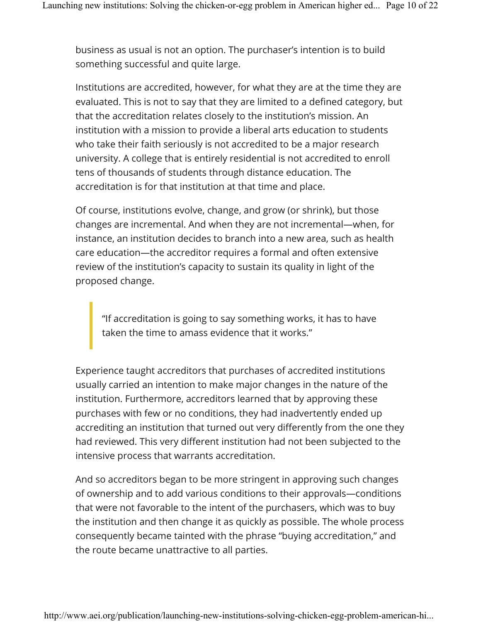business as usual is not an option. The purchaser's intention is to build something successful and quite large.

Institutions are accredited, however, for what they are at the time they are evaluated. This is not to say that they are limited to a defined category, but that the accreditation relates closely to the institution's mission. An institution with a mission to provide a liberal arts education to students who take their faith seriously is not accredited to be a major research university. A college that is entirely residential is not accredited to enroll tens of thousands of students through distance education. The accreditation is for that institution at that time and place.

Of course, institutions evolve, change, and grow (or shrink), but those changes are incremental. And when they are not incremental—when, for instance, an institution decides to branch into a new area, such as health care education—the accreditor requires a formal and often extensive review of the institution's capacity to sustain its quality in light of the proposed change.

"If accreditation is going to say something works, it has to have taken the time to amass evidence that it works."

Experience taught accreditors that purchases of accredited institutions usually carried an intention to make major changes in the nature of the institution. Furthermore, accreditors learned that by approving these purchases with few or no conditions, they had inadvertently ended up accrediting an institution that turned out very differently from the one they had reviewed. This very different institution had not been subjected to the intensive process that warrants accreditation.

And so accreditors began to be more stringent in approving such changes of ownership and to add various conditions to their approvals—conditions that were not favorable to the intent of the purchasers, which was to buy the institution and then change it as quickly as possible. The whole process consequently became tainted with the phrase "buying accreditation," and the route became unattractive to all parties.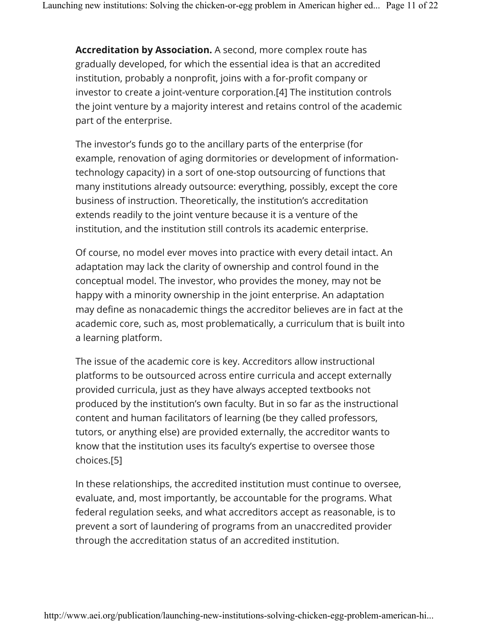**Accreditation by Association.** A second, more complex route has gradually developed, for which the essential idea is that an accredited institution, probably a nonprofit, joins with a for-profit company or investor to create a joint-venture corporation.[4] The institution controls the joint venture by a majority interest and retains control of the academic part of the enterprise.

The investor's funds go to the ancillary parts of the enterprise (for example, renovation of aging dormitories or development of informationtechnology capacity) in a sort of one-stop outsourcing of functions that many institutions already outsource: everything, possibly, except the core business of instruction. Theoretically, the institution's accreditation extends readily to the joint venture because it is a venture of the institution, and the institution still controls its academic enterprise.

Of course, no model ever moves into practice with every detail intact. An adaptation may lack the clarity of ownership and control found in the conceptual model. The investor, who provides the money, may not be happy with a minority ownership in the joint enterprise. An adaptation may define as nonacademic things the accreditor believes are in fact at the academic core, such as, most problematically, a curriculum that is built into a learning platform.

The issue of the academic core is key. Accreditors allow instructional platforms to be outsourced across entire curricula and accept externally provided curricula, just as they have always accepted textbooks not produced by the institution's own faculty. But in so far as the instructional content and human facilitators of learning (be they called professors, tutors, or anything else) are provided externally, the accreditor wants to know that the institution uses its faculty's expertise to oversee those choices.[5]

In these relationships, the accredited institution must continue to oversee, evaluate, and, most importantly, be accountable for the programs. What federal regulation seeks, and what accreditors accept as reasonable, is to prevent a sort of laundering of programs from an unaccredited provider through the accreditation status of an accredited institution.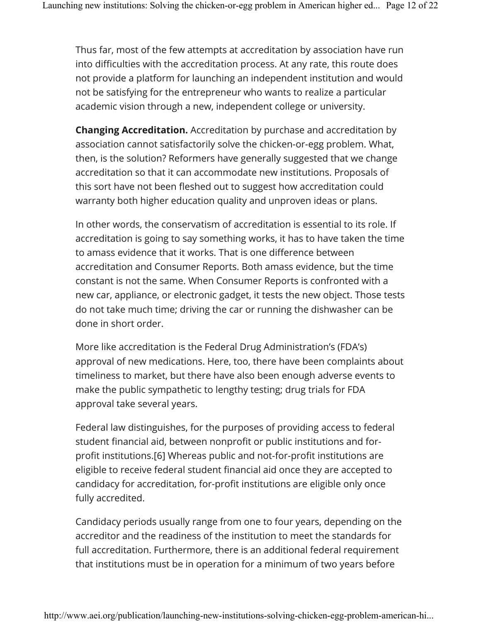Thus far, most of the few attempts at accreditation by association have run into difficulties with the accreditation process. At any rate, this route does not provide a platform for launching an independent institution and would not be satisfying for the entrepreneur who wants to realize a particular academic vision through a new, independent college or university.

**Changing Accreditation.** Accreditation by purchase and accreditation by association cannot satisfactorily solve the chicken-or-egg problem. What, then, is the solution? Reformers have generally suggested that we change accreditation so that it can accommodate new institutions. Proposals of this sort have not been fleshed out to suggest how accreditation could warranty both higher education quality and unproven ideas or plans.

In other words, the conservatism of accreditation is essential to its role. If accreditation is going to say something works, it has to have taken the time to amass evidence that it works. That is one difference between accreditation and Consumer Reports. Both amass evidence, but the time constant is not the same. When Consumer Reports is confronted with a new car, appliance, or electronic gadget, it tests the new object. Those tests do not take much time; driving the car or running the dishwasher can be done in short order.

More like accreditation is the Federal Drug Administration's (FDA's) approval of new medications. Here, too, there have been complaints about timeliness to market, but there have also been enough adverse events to make the public sympathetic to lengthy testing; drug trials for FDA approval take several years.

Federal law distinguishes, for the purposes of providing access to federal student financial aid, between nonprofit or public institutions and forprofit institutions.[6] Whereas public and not-for-profit institutions are eligible to receive federal student financial aid once they are accepted to candidacy for accreditation, for-profit institutions are eligible only once fully accredited.

Candidacy periods usually range from one to four years, depending on the accreditor and the readiness of the institution to meet the standards for full accreditation. Furthermore, there is an additional federal requirement that institutions must be in operation for a minimum of two years before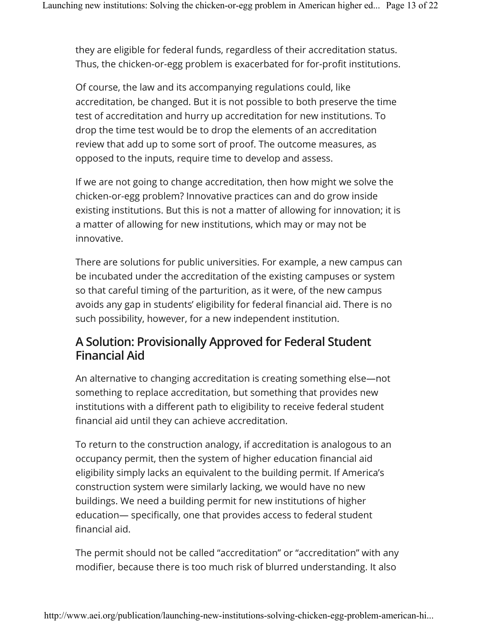they are eligible for federal funds, regardless of their accreditation status. Thus, the chicken-or-egg problem is exacerbated for for-profit institutions.

Of course, the law and its accompanying regulations could, like accreditation, be changed. But it is not possible to both preserve the time test of accreditation and hurry up accreditation for new institutions. To drop the time test would be to drop the elements of an accreditation review that add up to some sort of proof. The outcome measures, as opposed to the inputs, require time to develop and assess.

If we are not going to change accreditation, then how might we solve the chicken-or-egg problem? Innovative practices can and do grow inside existing institutions. But this is not a matter of allowing for innovation; it is a matter of allowing for new institutions, which may or may not be innovative.

There are solutions for public universities. For example, a new campus can be incubated under the accreditation of the existing campuses or system so that careful timing of the parturition, as it were, of the new campus avoids any gap in students' eligibility for federal financial aid. There is no such possibility, however, for a new independent institution.

### A Solution: Provisionally Approved for Federal Student Financial Aid

An alternative to changing accreditation is creating something else—not something to replace accreditation, but something that provides new institutions with a different path to eligibility to receive federal student financial aid until they can achieve accreditation.

To return to the construction analogy, if accreditation is analogous to an occupancy permit, then the system of higher education financial aid eligibility simply lacks an equivalent to the building permit. If America's construction system were similarly lacking, we would have no new buildings. We need a building permit for new institutions of higher education— specifically, one that provides access to federal student financial aid.

The permit should not be called "accreditation" or "accreditation" with any modifier, because there is too much risk of blurred understanding. It also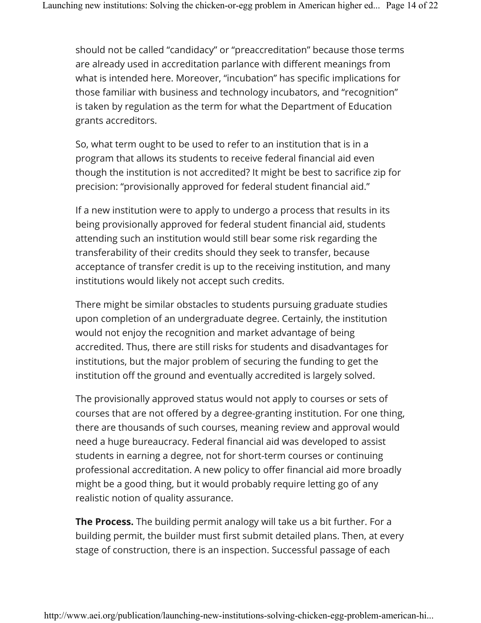should not be called "candidacy" or "preaccreditation" because those terms are already used in accreditation parlance with different meanings from what is intended here. Moreover, "incubation" has specific implications for those familiar with business and technology incubators, and "recognition" is taken by regulation as the term for what the Department of Education grants accreditors.

So, what term ought to be used to refer to an institution that is in a program that allows its students to receive federal financial aid even though the institution is not accredited? It might be best to sacrifice zip for precision: "provisionally approved for federal student financial aid."

If a new institution were to apply to undergo a process that results in its being provisionally approved for federal student financial aid, students attending such an institution would still bear some risk regarding the transferability of their credits should they seek to transfer, because acceptance of transfer credit is up to the receiving institution, and many institutions would likely not accept such credits.

There might be similar obstacles to students pursuing graduate studies upon completion of an undergraduate degree. Certainly, the institution would not enjoy the recognition and market advantage of being accredited. Thus, there are still risks for students and disadvantages for institutions, but the major problem of securing the funding to get the institution off the ground and eventually accredited is largely solved.

The provisionally approved status would not apply to courses or sets of courses that are not offered by a degree-granting institution. For one thing, there are thousands of such courses, meaning review and approval would need a huge bureaucracy. Federal financial aid was developed to assist students in earning a degree, not for short-term courses or continuing professional accreditation. A new policy to offer financial aid more broadly might be a good thing, but it would probably require letting go of any realistic notion of quality assurance.

**The Process.** The building permit analogy will take us a bit further. For a building permit, the builder must first submit detailed plans. Then, at every stage of construction, there is an inspection. Successful passage of each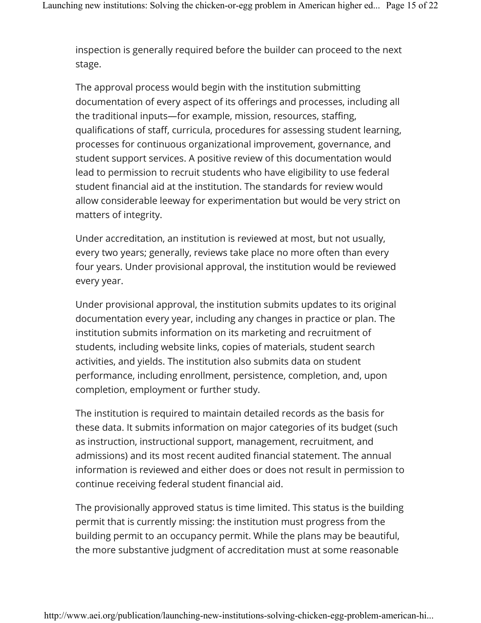inspection is generally required before the builder can proceed to the next stage.

The approval process would begin with the institution submitting documentation of every aspect of its offerings and processes, including all the traditional inputs—for example, mission, resources, staffing, qualifications of staff, curricula, procedures for assessing student learning, processes for continuous organizational improvement, governance, and student support services. A positive review of this documentation would lead to permission to recruit students who have eligibility to use federal student financial aid at the institution. The standards for review would allow considerable leeway for experimentation but would be very strict on matters of integrity.

Under accreditation, an institution is reviewed at most, but not usually, every two years; generally, reviews take place no more often than every four years. Under provisional approval, the institution would be reviewed every year.

Under provisional approval, the institution submits updates to its original documentation every year, including any changes in practice or plan. The institution submits information on its marketing and recruitment of students, including website links, copies of materials, student search activities, and yields. The institution also submits data on student performance, including enrollment, persistence, completion, and, upon completion, employment or further study.

The institution is required to maintain detailed records as the basis for these data. It submits information on major categories of its budget (such as instruction, instructional support, management, recruitment, and admissions) and its most recent audited financial statement. The annual information is reviewed and either does or does not result in permission to continue receiving federal student financial aid.

The provisionally approved status is time limited. This status is the building permit that is currently missing: the institution must progress from the building permit to an occupancy permit. While the plans may be beautiful, the more substantive judgment of accreditation must at some reasonable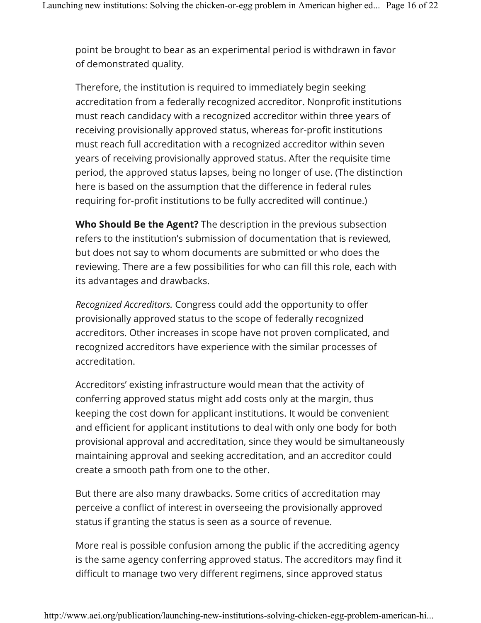point be brought to bear as an experimental period is withdrawn in favor of demonstrated quality.

Therefore, the institution is required to immediately begin seeking accreditation from a federally recognized accreditor. Nonprofit institutions must reach candidacy with a recognized accreditor within three years of receiving provisionally approved status, whereas for-profit institutions must reach full accreditation with a recognized accreditor within seven years of receiving provisionally approved status. After the requisite time period, the approved status lapses, being no longer of use. (The distinction here is based on the assumption that the difference in federal rules requiring for-profit institutions to be fully accredited will continue.)

**Who Should Be the Agent?** The description in the previous subsection refers to the institution's submission of documentation that is reviewed, but does not say to whom documents are submitted or who does the reviewing. There are a few possibilities for who can fill this role, each with its advantages and drawbacks.

*Recognized Accreditors.* Congress could add the opportunity to offer provisionally approved status to the scope of federally recognized accreditors. Other increases in scope have not proven complicated, and recognized accreditors have experience with the similar processes of accreditation.

Accreditors' existing infrastructure would mean that the activity of conferring approved status might add costs only at the margin, thus keeping the cost down for applicant institutions. It would be convenient and efficient for applicant institutions to deal with only one body for both provisional approval and accreditation, since they would be simultaneously maintaining approval and seeking accreditation, and an accreditor could create a smooth path from one to the other.

But there are also many drawbacks. Some critics of accreditation may perceive a conflict of interest in overseeing the provisionally approved status if granting the status is seen as a source of revenue.

More real is possible confusion among the public if the accrediting agency is the same agency conferring approved status. The accreditors may find it difficult to manage two very different regimens, since approved status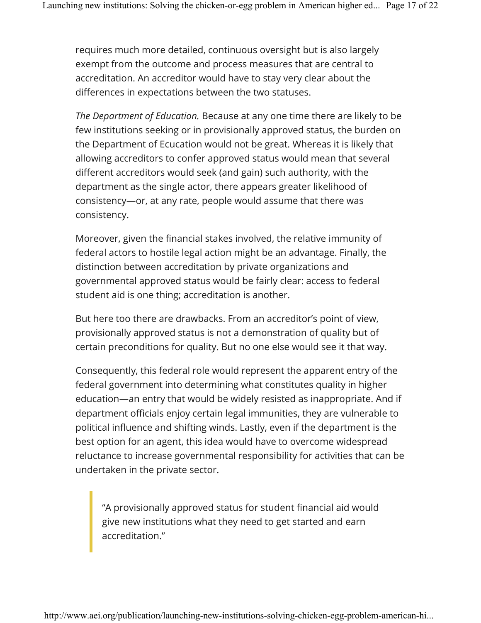requires much more detailed, continuous oversight but is also largely exempt from the outcome and process measures that are central to accreditation. An accreditor would have to stay very clear about the differences in expectations between the two statuses.

*The Department of Education.* Because at any one time there are likely to be few institutions seeking or in provisionally approved status, the burden on the Department of Ecucation would not be great. Whereas it is likely that allowing accreditors to confer approved status would mean that several different accreditors would seek (and gain) such authority, with the department as the single actor, there appears greater likelihood of consistency—or, at any rate, people would assume that there was consistency.

Moreover, given the financial stakes involved, the relative immunity of federal actors to hostile legal action might be an advantage. Finally, the distinction between accreditation by private organizations and governmental approved status would be fairly clear: access to federal student aid is one thing; accreditation is another.

But here too there are drawbacks. From an accreditor's point of view, provisionally approved status is not a demonstration of quality but of certain preconditions for quality. But no one else would see it that way.

Consequently, this federal role would represent the apparent entry of the federal government into determining what constitutes quality in higher education—an entry that would be widely resisted as inappropriate. And if department officials enjoy certain legal immunities, they are vulnerable to political influence and shifting winds. Lastly, even if the department is the best option for an agent, this idea would have to overcome widespread reluctance to increase governmental responsibility for activities that can be undertaken in the private sector.

"A provisionally approved status for student financial aid would give new institutions what they need to get started and earn accreditation."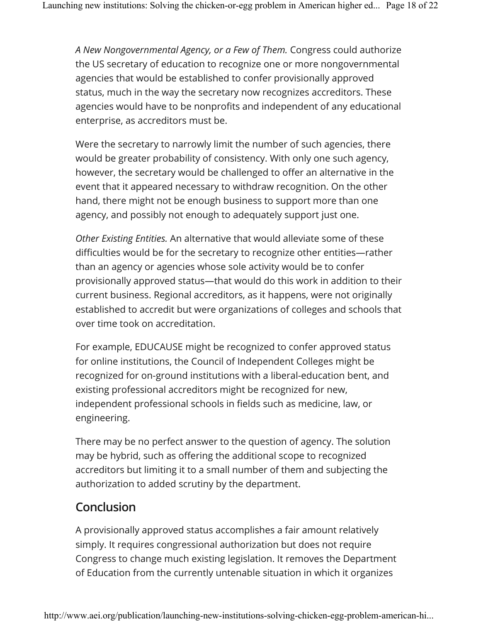*A New Nongovernmental Agency, or a Few of Them.* Congress could authorize the US secretary of education to recognize one or more nongovernmental agencies that would be established to confer provisionally approved status, much in the way the secretary now recognizes accreditors. These agencies would have to be nonprofits and independent of any educational enterprise, as accreditors must be.

Were the secretary to narrowly limit the number of such agencies, there would be greater probability of consistency. With only one such agency, however, the secretary would be challenged to offer an alternative in the event that it appeared necessary to withdraw recognition. On the other hand, there might not be enough business to support more than one agency, and possibly not enough to adequately support just one.

*Other Existing Entities.* An alternative that would alleviate some of these difficulties would be for the secretary to recognize other entities—rather than an agency or agencies whose sole activity would be to confer provisionally approved status—that would do this work in addition to their current business. Regional accreditors, as it happens, were not originally established to accredit but were organizations of colleges and schools that over time took on accreditation.

For example, EDUCAUSE might be recognized to confer approved status for online institutions, the Council of Independent Colleges might be recognized for on-ground institutions with a liberal-education bent, and existing professional accreditors might be recognized for new, independent professional schools in fields such as medicine, law, or engineering.

There may be no perfect answer to the question of agency. The solution may be hybrid, such as offering the additional scope to recognized accreditors but limiting it to a small number of them and subjecting the authorization to added scrutiny by the department.

## Conclusion

A provisionally approved status accomplishes a fair amount relatively simply. It requires congressional authorization but does not require Congress to change much existing legislation. It removes the Department of Education from the currently untenable situation in which it organizes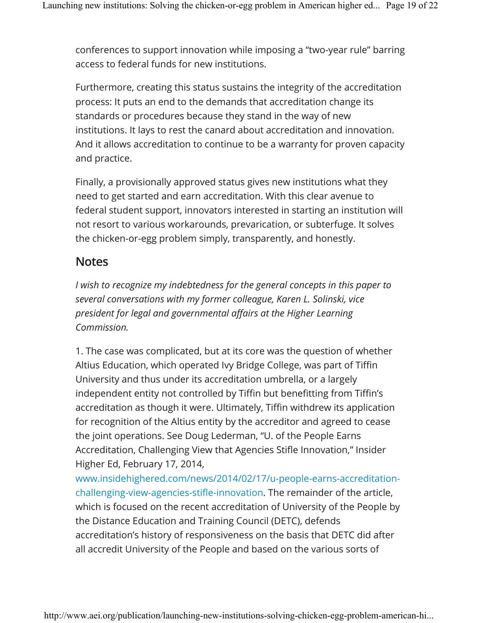conferences to support innovation while imposing a "two-year rule" barring access to federal funds for new institutions.

Furthermore, creating this status sustains the integrity of the accreditation process: It puts an end to the demands that accreditation change its standards or procedures because they stand in the way of new institutions. It lays to rest the canard about accreditation and innovation. And it allows accreditation to continue to be a warranty for proven capacity and practice.

Finally, a provisionally approved status gives new institutions what they need to get started and earn accreditation. With this clear avenue to federal student support, innovators interested in starting an institution will not resort to various workarounds, prevarication, or subterfuge. It solves the chicken-or-egg problem simply, transparently, and honestly.

#### **Notes**

*I* wish to recognize my indebtedness for the general concepts in this paper to *several conversations with my former colleague, Karen L. Solinski, vice president for legal and governmental affairs at the Higher Learning Commission.*

1. The case was complicated, but at its core was the question of whether Altius Education, which operated Ivy Bridge College, was part of Tiffin University and thus under its accreditation umbrella, or a largely independent entity not controlled by Tiffin but benefitting from Tiffin's accreditation as though it were. Ultimately, Tiffin withdrew its application for recognition of the Altius entity by the accreditor and agreed to cease the joint operations. See Doug Lederman, "U. of the People Earns Accreditation, Challenging View that Agencies Stifle Innovation," Insider Higher Ed, February 17, 2014,

www.insidehighered.com/news/2014/02/17/u-people-earns-accreditationchallenging-view-agencies-stifle-innovation. The remainder of the article, which is focused on the recent accreditation of University of the People by the Distance Education and Training Council (DETC), defends accreditation's history of responsiveness on the basis that DETC did after all accredit University of the People and based on the various sorts of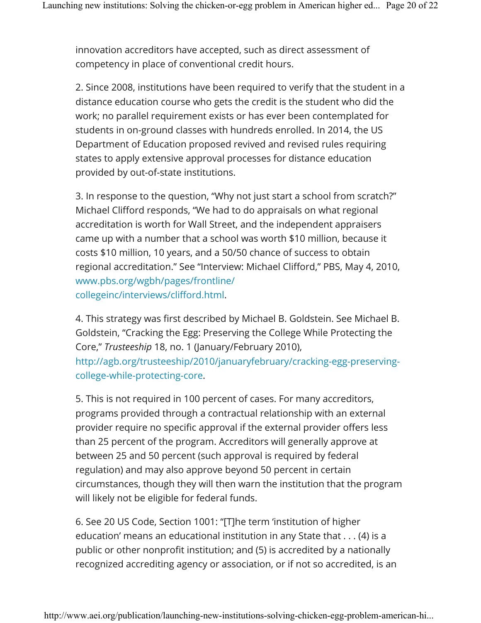innovation accreditors have accepted, such as direct assessment of competency in place of conventional credit hours.

2. Since 2008, institutions have been required to verify that the student in a distance education course who gets the credit is the student who did the work; no parallel requirement exists or has ever been contemplated for students in on-ground classes with hundreds enrolled. In 2014, the US Department of Education proposed revived and revised rules requiring states to apply extensive approval processes for distance education provided by out-of-state institutions.

3. In response to the question, "Why not just start a school from scratch?" Michael Clifford responds, "We had to do appraisals on what regional accreditation is worth for Wall Street, and the independent appraisers came up with a number that a school was worth \$10 million, because it costs \$10 million, 10 years, and a 50/50 chance of success to obtain regional accreditation." See "Interview: Michael Clifford," PBS, May 4, 2010, www.pbs.org/wgbh/pages/frontline/ collegeinc/interviews/clifford.html.

4. This strategy was first described by Michael B. Goldstein. See Michael B. Goldstein, "Cracking the Egg: Preserving the College While Protecting the Core," *Trusteeship* 18, no. 1 (January/February 2010), http://agb.org/trusteeship/2010/januaryfebruary/cracking-egg-preservingcollege-while-protecting-core.

5. This is not required in 100 percent of cases. For many accreditors, programs provided through a contractual relationship with an external provider require no specific approval if the external provider offers less than 25 percent of the program. Accreditors will generally approve at between 25 and 50 percent (such approval is required by federal regulation) and may also approve beyond 50 percent in certain circumstances, though they will then warn the institution that the program will likely not be eligible for federal funds.

6. See 20 US Code, Section 1001: "[T]he term 'institution of higher education' means an educational institution in any State that . . . (4) is a public or other nonprofit institution; and (5) is accredited by a nationally recognized accrediting agency or association, or if not so accredited, is an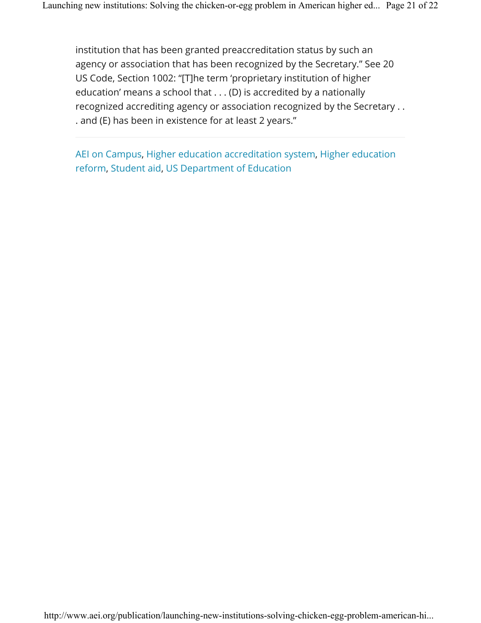institution that has been granted preaccreditation status by such an agency or association that has been recognized by the Secretary." See 20 US Code, Section 1002: "[T]he term 'proprietary institution of higher education' means a school that . . . (D) is accredited by a nationally recognized accrediting agency or association recognized by the Secretary . . . and (E) has been in existence for at least 2 years."

AEI on Campus, Higher education accreditation system, Higher education reform, Student aid, US Department of Education